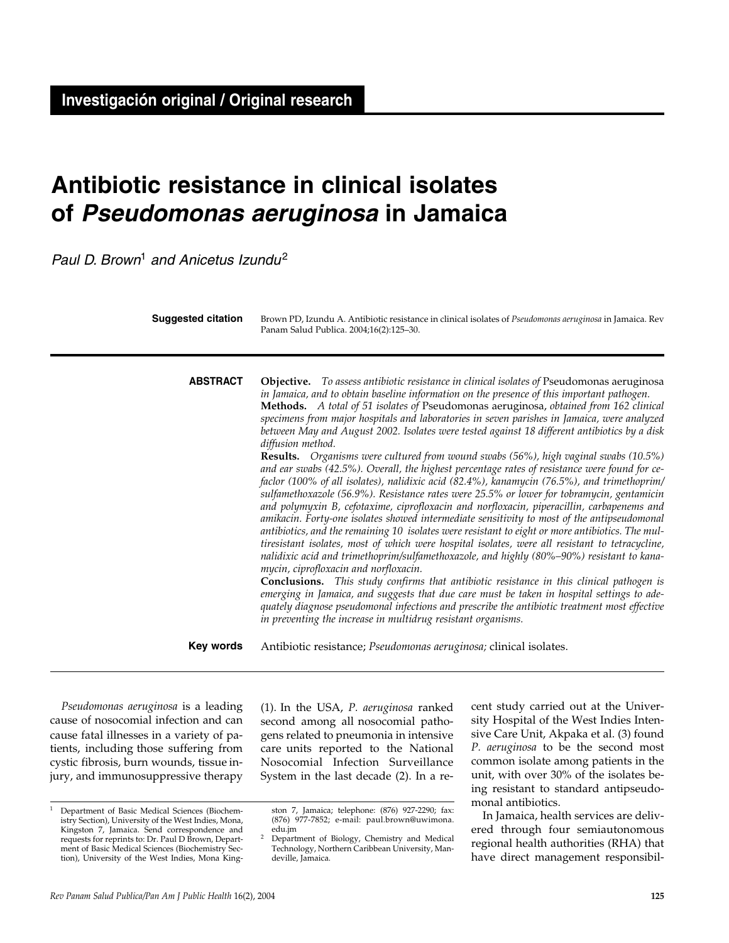# **Antibiotic resistance in clinical isolates of** *Pseudomonas aeruginosa* **in Jamaica**

*Paul D. Brown*<sup>1</sup> *and Anicetus Izundu*<sup>2</sup>

| <b>Suggested citation</b> | Brown PD, Izundu A. Antibiotic resistance in clinical isolates of <i>Pseudomonas aeruginosa</i> in Jamaica. Rev<br>Panam Salud Publica. 2004;16(2):125-30.                                                                                                                                                                                                                                                                                                                                                                                                                                                                                                                                                                                                                                                                                                                                                                                                                                                                                                                                                                                                                                                                                                                                                                                                                                                                                                                                                                                                                                                                                                                                                                                                                                          |
|---------------------------|-----------------------------------------------------------------------------------------------------------------------------------------------------------------------------------------------------------------------------------------------------------------------------------------------------------------------------------------------------------------------------------------------------------------------------------------------------------------------------------------------------------------------------------------------------------------------------------------------------------------------------------------------------------------------------------------------------------------------------------------------------------------------------------------------------------------------------------------------------------------------------------------------------------------------------------------------------------------------------------------------------------------------------------------------------------------------------------------------------------------------------------------------------------------------------------------------------------------------------------------------------------------------------------------------------------------------------------------------------------------------------------------------------------------------------------------------------------------------------------------------------------------------------------------------------------------------------------------------------------------------------------------------------------------------------------------------------------------------------------------------------------------------------------------------------|
| <b>ABSTRACT</b>           | Objective. To assess antibiotic resistance in clinical isolates of Pseudomonas aeruginosa<br>in Jamaica, and to obtain baseline information on the presence of this important pathogen.<br>Methods. A total of 51 isolates of Pseudomonas aeruginosa, obtained from 162 clinical<br>specimens from major hospitals and laboratories in seven parishes in Jamaica, were analyzed<br>between May and August 2002. Isolates were tested against 18 different antibiotics by a disk<br>diffusion method.<br>Results. Organisms were cultured from wound swabs (56%), high vaginal swabs (10.5%)<br>and ear swabs (42.5%). Overall, the highest percentage rates of resistance were found for ce-<br>faclor (100% of all isolates), nalidixic acid (82.4%), kanamycin (76.5%), and trimethoprim/<br>sulfamethoxazole (56.9%). Resistance rates were 25.5% or lower for tobramycin, gentamicin<br>and polymyxin B, cefotaxime, ciprofloxacin and norfloxacin, piperacillin, carbapenems and<br>amikacin. Forty-one isolates showed intermediate sensitivity to most of the antipseudomonal<br>antibiotics, and the remaining 10 isolates were resistant to eight or more antibiotics. The mul-<br>tiresistant isolates, most of which were hospital isolates, were all resistant to tetracycline,<br>nalidixic acid and trimethoprim/sulfamethoxazole, and highly (80%-90%) resistant to kana-<br>mycin, ciprofloxacin and norfloxacin.<br><b>Conclusions.</b> This study confirms that antibiotic resistance in this clinical pathogen is<br>emerging in Jamaica, and suggests that due care must be taken in hospital settings to ade-<br>quately diagnose pseudomonal infections and prescribe the antibiotic treatment most effective<br>in preventing the increase in multidrug resistant organisms. |
| Key words                 | Antibiotic resistance; Pseudomonas aeruginosa; clinical isolates.                                                                                                                                                                                                                                                                                                                                                                                                                                                                                                                                                                                                                                                                                                                                                                                                                                                                                                                                                                                                                                                                                                                                                                                                                                                                                                                                                                                                                                                                                                                                                                                                                                                                                                                                   |

*Pseudomonas aeruginosa* is a leading cause of nosocomial infection and can cause fatal illnesses in a variety of patients, including those suffering from cystic fibrosis, burn wounds, tissue injury, and immunosuppressive therapy

(1). In the USA, *P. aeruginosa* ranked second among all nosocomial pathogens related to pneumonia in intensive care units reported to the National Nosocomial Infection Surveillance System in the last decade (2). In a recent study carried out at the University Hospital of the West Indies Intensive Care Unit, Akpaka et al. (3) found *P. aeruginosa* to be the second most common isolate among patients in the unit, with over 30% of the isolates being resistant to standard antipseudomonal antibiotics.

In Jamaica, health services are delivered through four semiautonomous regional health authorities (RHA) that have direct management responsibil-

<sup>1</sup> Department of Basic Medical Sciences (Biochemistry Section), University of the West Indies, Mona, Kingston 7, Jamaica. Send correspondence and requests for reprints to: Dr. Paul D Brown, Department of Basic Medical Sciences (Biochemistry Section), University of the West Indies, Mona King-

ston 7, Jamaica; telephone: (876) 927-2290; fax: (876) 977-7852; e-mail: paul.brown@uwimona. edu.jm

<sup>&</sup>lt;sup>2</sup> Department of Biology, Chemistry and Medical Technology, Northern Caribbean University, Mandeville, Jamaica.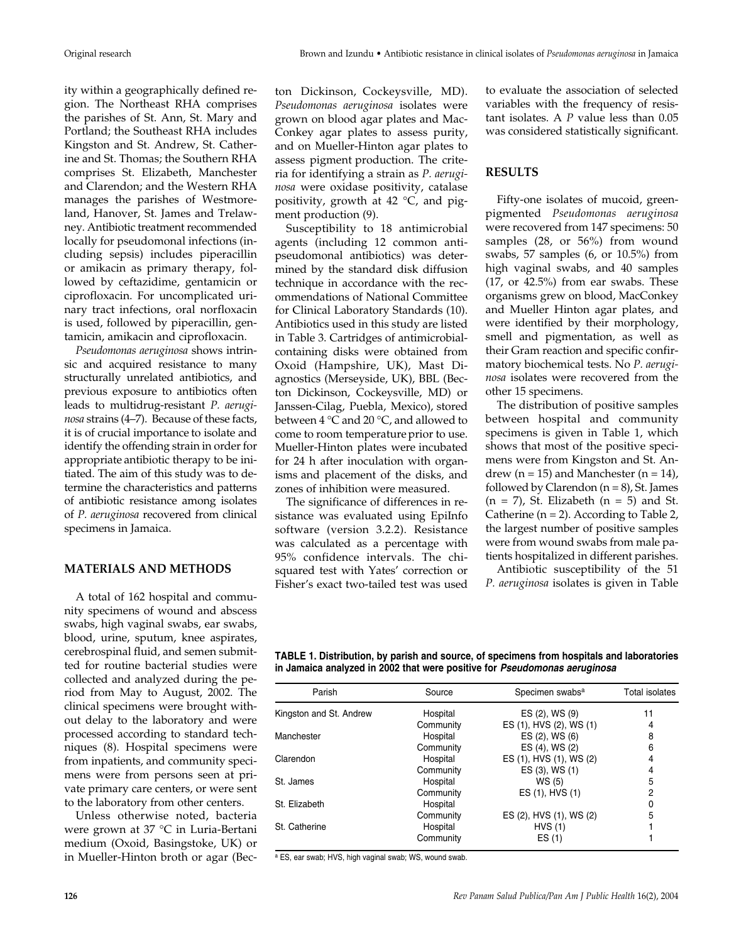ity within a geographically defined region. The Northeast RHA comprises the parishes of St. Ann, St. Mary and Portland; the Southeast RHA includes Kingston and St. Andrew, St. Catherine and St. Thomas; the Southern RHA comprises St. Elizabeth, Manchester and Clarendon; and the Western RHA manages the parishes of Westmoreland, Hanover, St. James and Trelawney. Antibiotic treatment recommended locally for pseudomonal infections (including sepsis) includes piperacillin or amikacin as primary therapy, followed by ceftazidime, gentamicin or ciprofloxacin. For uncomplicated urinary tract infections, oral norfloxacin is used, followed by piperacillin, gentamicin, amikacin and ciprofloxacin.

*Pseudomonas aeruginosa* shows intrinsic and acquired resistance to many structurally unrelated antibiotics, and previous exposure to antibiotics often leads to multidrug-resistant *P. aeruginosa* strains (4–7). Because of these facts, it is of crucial importance to isolate and identify the offending strain in order for appropriate antibiotic therapy to be initiated. The aim of this study was to determine the characteristics and patterns of antibiotic resistance among isolates of *P. aeruginosa* recovered from clinical specimens in Jamaica.

## **MATERIALS AND METHODS**

A total of 162 hospital and community specimens of wound and abscess swabs, high vaginal swabs, ear swabs, blood, urine, sputum, knee aspirates, cerebrospinal fluid, and semen submitted for routine bacterial studies were collected and analyzed during the period from May to August, 2002. The clinical specimens were brought without delay to the laboratory and were processed according to standard techniques (8). Hospital specimens were from inpatients, and community specimens were from persons seen at private primary care centers, or were sent to the laboratory from other centers.

Unless otherwise noted, bacteria were grown at 37 °C in Luria-Bertani medium (Oxoid, Basingstoke, UK) or in Mueller-Hinton broth or agar (Becton Dickinson, Cockeysville, MD). *Pseudomonas aeruginosa* isolates were grown on blood agar plates and Mac-Conkey agar plates to assess purity, and on Mueller-Hinton agar plates to assess pigment production. The criteria for identifying a strain as *P. aeruginosa* were oxidase positivity, catalase positivity, growth at 42 °C, and pigment production (9).

Susceptibility to 18 antimicrobial agents (including 12 common antipseudomonal antibiotics) was determined by the standard disk diffusion technique in accordance with the recommendations of National Committee for Clinical Laboratory Standards (10). Antibiotics used in this study are listed in Table 3. Cartridges of antimicrobialcontaining disks were obtained from Oxoid (Hampshire, UK), Mast Diagnostics (Merseyside, UK), BBL (Becton Dickinson, Cockeysville, MD) or Janssen-Cilag, Puebla, Mexico), stored between 4 °C and 20 °C, and allowed to come to room temperature prior to use. Mueller-Hinton plates were incubated for 24 h after inoculation with organisms and placement of the disks, and zones of inhibition were measured.

The significance of differences in resistance was evaluated using EpiInfo software (version 3.2.2). Resistance was calculated as a percentage with 95% confidence intervals. The chisquared test with Yates' correction or Fisher's exact two-tailed test was used to evaluate the association of selected variables with the frequency of resistant isolates. A *P* value less than 0.05 was considered statistically significant.

#### **RESULTS**

Fifty-one isolates of mucoid, greenpigmented *Pseudomonas aeruginosa* were recovered from 147 specimens: 50 samples (28, or 56%) from wound swabs, 57 samples (6, or 10.5%) from high vaginal swabs, and 40 samples (17, or 42.5%) from ear swabs. These organisms grew on blood, MacConkey and Mueller Hinton agar plates, and were identified by their morphology, smell and pigmentation, as well as their Gram reaction and specific confirmatory biochemical tests. No *P. aeruginosa* isolates were recovered from the other 15 specimens.

The distribution of positive samples between hospital and community specimens is given in Table 1, which shows that most of the positive specimens were from Kingston and St. Andrew ( $n = 15$ ) and Manchester ( $n = 14$ ), followed by Clarendon  $(n = 8)$ , St. James  $(n = 7)$ , St. Elizabeth  $(n = 5)$  and St. Catherine ( $n = 2$ ). According to Table 2, the largest number of positive samples were from wound swabs from male patients hospitalized in different parishes.

Antibiotic susceptibility of the 51 *P. aeruginosa* isolates is given in Table

**TABLE 1. Distribution, by parish and source, of specimens from hospitals and laboratories in Jamaica analyzed in 2002 that were positive for** *Pseudomonas aeruginosa*

| Parish                  | Source    | Specimen swabs <sup>a</sup> | Total isolates |
|-------------------------|-----------|-----------------------------|----------------|
| Kingston and St. Andrew | Hospital  | ES (2), WS (9)              | 11             |
|                         | Community | ES (1), HVS (2), WS (1)     | 4              |
| Manchester              | Hospital  | ES (2), WS (6)              | 8              |
|                         | Community | ES (4), WS (2)              | 6              |
| Clarendon               | Hospital  | ES (1), HVS (1), WS (2)     | 4              |
|                         | Community | ES (3), WS (1)              | 4              |
| St. James               | Hospital  | WS (5)                      | 5              |
|                         | Community | ES (1), HVS (1)             | 2              |
| St. Elizabeth           | Hospital  |                             | 0              |
|                         | Community | ES (2), HVS (1), WS (2)     | 5              |
| St. Catherine           | Hospital  | HVS(1)                      |                |
|                         | Community | ES(1)                       |                |

a ES, ear swab; HVS, high vaginal swab; WS, wound swab.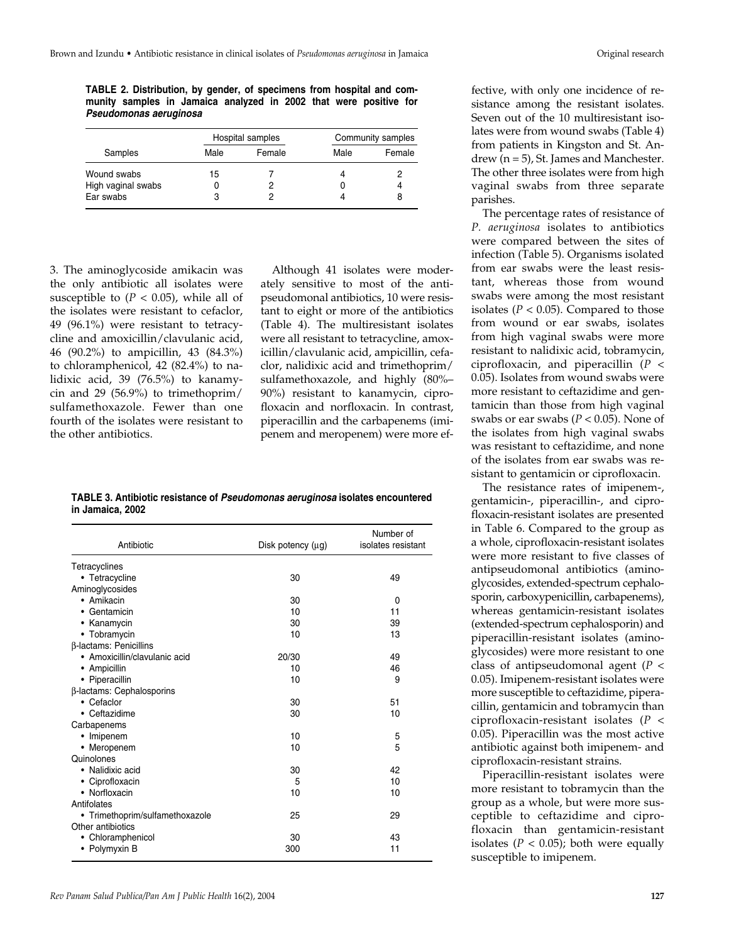**TABLE 2. Distribution, by gender, of specimens from hospital and community samples in Jamaica analyzed in 2002 that were positive for** *Pseudomonas aeruginosa*

|                    |      | Hospital samples | Community samples |        |  |  |
|--------------------|------|------------------|-------------------|--------|--|--|
| Samples            | Male | Female           | Male              | Female |  |  |
| Wound swabs        | 15   |                  |                   |        |  |  |
| High vaginal swabs |      |                  |                   | 4      |  |  |
| Ear swabs          |      |                  |                   | 8      |  |  |

3. The aminoglycoside amikacin was the only antibiotic all isolates were susceptible to  $(P < 0.05)$ , while all of the isolates were resistant to cefaclor, 49 (96.1%) were resistant to tetracycline and amoxicillin/clavulanic acid, 46 (90.2%) to ampicillin, 43 (84.3%) to chloramphenicol, 42 (82.4%) to nalidixic acid, 39 (76.5%) to kanamycin and 29 (56.9%) to trimethoprim/ sulfamethoxazole. Fewer than one fourth of the isolates were resistant to the other antibiotics.

Although 41 isolates were moderately sensitive to most of the antipseudomonal antibiotics, 10 were resistant to eight or more of the antibiotics (Table 4). The multiresistant isolates were all resistant to tetracycline, amoxicillin/clavulanic acid, ampicillin, cefaclor, nalidixic acid and trimethoprim/ sulfamethoxazole, and highly (80%– 90%) resistant to kanamycin, ciprofloxacin and norfloxacin. In contrast, piperacillin and the carbapenems (imipenem and meropenem) were more ef-

**TABLE 3. Antibiotic resistance of** *Pseudomonas aeruginosa* **isolates encountered in Jamaica, 2002**

| Antibiotic                      | Disk potency (µg) | Number of<br>isolates resistant |
|---------------------------------|-------------------|---------------------------------|
| Tetracyclines                   |                   |                                 |
| • Tetracycline                  | 30                | 49                              |
| Aminoglycosides                 |                   |                                 |
| • Amikacin                      | 30                | 0                               |
| • Gentamicin                    | 10                | 11                              |
| • Kanamycin                     | 30                | 39                              |
| • Tobramycin                    | 10                | 13                              |
| β-lactams: Penicillins          |                   |                                 |
| • Amoxicillin/clavulanic acid   | 20/30             | 49                              |
| • Ampicillin                    | 10                | 46                              |
| • Piperacillin                  | 10                | 9                               |
| β-lactams: Cephalosporins       |                   |                                 |
| • Cefaclor                      | 30                | 51                              |
| • Ceftazidime                   | 30                | 10                              |
| Carbapenems                     |                   |                                 |
| • Imipenem                      | 10                | 5                               |
| • Meropenem                     | 10                | 5                               |
| Quinolones                      |                   |                                 |
| • Nalidixic acid                | 30                | 42                              |
| • Ciprofloxacin                 | 5                 | 10                              |
| • Norfloxacin                   | 10                | 10                              |
| Antifolates                     |                   |                                 |
| • Trimethoprim/sulfamethoxazole | 25                | 29                              |
| Other antibiotics               |                   |                                 |
| • Chloramphenicol               | 30                | 43                              |
| • Polymyxin B                   | 300               | 11                              |

fective, with only one incidence of resistance among the resistant isolates. Seven out of the 10 multiresistant isolates were from wound swabs (Table 4) from patients in Kingston and St. Andrew (n = 5), St. James and Manchester. The other three isolates were from high vaginal swabs from three separate parishes.

The percentage rates of resistance of *P. aeruginosa* isolates to antibiotics were compared between the sites of infection (Table 5). Organisms isolated from ear swabs were the least resistant, whereas those from wound swabs were among the most resistant isolates ( $P < 0.05$ ). Compared to those from wound or ear swabs, isolates from high vaginal swabs were more resistant to nalidixic acid, tobramycin, ciprofloxacin, and piperacillin (*P* < 0.05). Isolates from wound swabs were more resistant to ceftazidime and gentamicin than those from high vaginal swabs or ear swabs (*P* < 0.05). None of the isolates from high vaginal swabs was resistant to ceftazidime, and none of the isolates from ear swabs was resistant to gentamicin or ciprofloxacin.

The resistance rates of imipenem-, gentamicin-, piperacillin-, and ciprofloxacin-resistant isolates are presented in Table 6. Compared to the group as a whole, ciprofloxacin-resistant isolates were more resistant to five classes of antipseudomonal antibiotics (aminoglycosides, extended-spectrum cephalosporin, carboxypenicillin, carbapenems), whereas gentamicin-resistant isolates (extended-spectrum cephalosporin) and piperacillin-resistant isolates (aminoglycosides) were more resistant to one class of antipseudomonal agent (*P* < 0.05). Imipenem-resistant isolates were more susceptible to ceftazidime, piperacillin, gentamicin and tobramycin than ciprofloxacin-resistant isolates (*P* < 0.05). Piperacillin was the most active antibiotic against both imipenem- and ciprofloxacin-resistant strains.

Piperacillin-resistant isolates were more resistant to tobramycin than the group as a whole, but were more susceptible to ceftazidime and ciprofloxacin than gentamicin-resistant isolates  $(P < 0.05)$ ; both were equally susceptible to imipenem.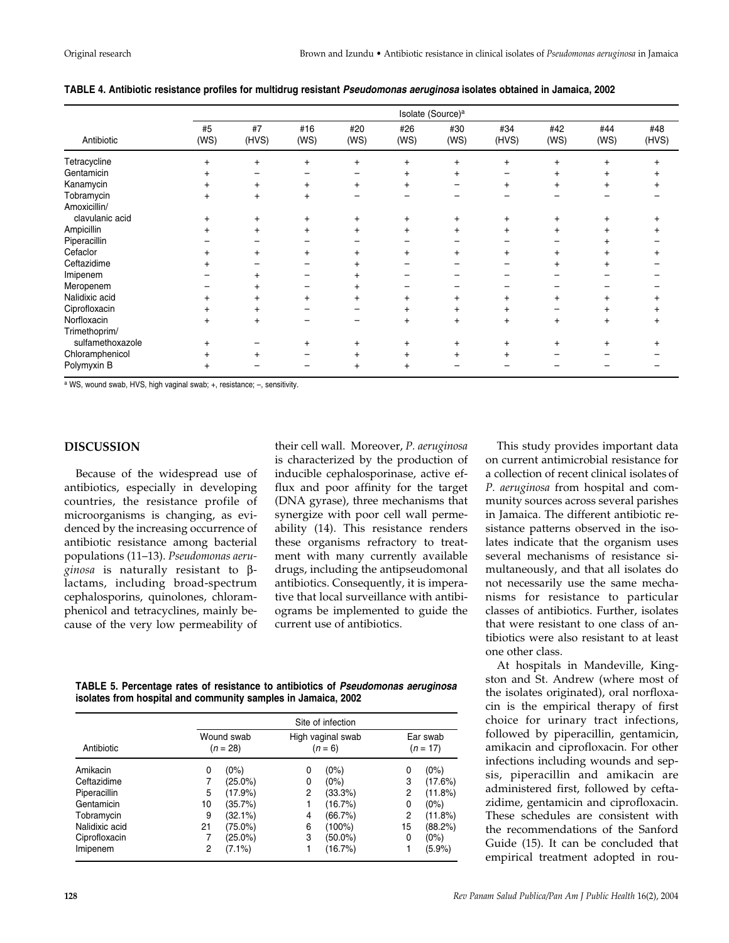| Antibiotic       | Isolate (Source) <sup>a</sup> |             |                 |                |             |             |              |             |             |              |
|------------------|-------------------------------|-------------|-----------------|----------------|-------------|-------------|--------------|-------------|-------------|--------------|
|                  | #5<br>(WS)                    | #7<br>(HVS) | #16<br>(WS)     | #20<br>(WS)    | #26<br>(WS) | #30<br>(WS) | #34<br>(HVS) | #42<br>(WS) | #44<br>(WS) | #48<br>(HVS) |
| Tetracycline     |                               | $\ddot{}$   | $^{+}$          | $\ddot{}$      |             |             |              |             |             |              |
| Gentamicin       |                               |             |                 |                |             |             |              |             |             |              |
| Kanamycin        |                               | $\ddot{}$   |                 | $\overline{+}$ |             |             |              |             |             |              |
| Tobramycin       | $\pm$                         | $\ddot{}$   | $^{\mathrm{+}}$ |                |             |             |              |             |             |              |
| Amoxicillin/     |                               |             |                 |                |             |             |              |             |             |              |
| clavulanic acid  | ÷                             | $\ddot{}$   |                 |                |             |             |              |             |             |              |
| Ampicillin       |                               | $\ddot{}$   | $\ddot{}$       | $\div$         |             |             |              |             |             |              |
| Piperacillin     |                               |             |                 |                |             |             |              |             |             |              |
| Cefaclor         |                               | $\ddot{}$   |                 |                |             |             |              |             |             |              |
| Ceftazidime      |                               |             |                 |                |             |             |              |             |             |              |
| Imipenem         |                               | $\pm$       |                 |                |             |             |              |             |             |              |
| Meropenem        |                               |             |                 |                |             |             |              |             |             |              |
| Nalidixic acid   | +                             | $\ddot{}$   | $\pm$           | $\ddot{}$      |             |             |              | $\ddot{}$   |             |              |
| Ciprofloxacin    |                               |             |                 |                |             |             |              |             |             |              |
| Norfloxacin      | $\overline{+}$                | $\ddot{}$   |                 |                |             |             |              | $^{+}$      |             |              |
| Trimethoprim/    |                               |             |                 |                |             |             |              |             |             |              |
| sulfamethoxazole |                               |             |                 |                |             |             |              |             |             |              |
| Chloramphenicol  |                               | $\ddot{}$   |                 | $\ddot{}$      |             |             |              |             |             |              |
| Polymyxin B      | ÷                             |             |                 |                |             |             |              |             |             |              |

**TABLE 4. Antibiotic resistance profiles for multidrug resistant** *Pseudomonas aeruginosa* **isolates obtained in Jamaica, 2002**

a WS, wound swab, HVS, high vaginal swab; +, resistance; -, sensitivity.

### **DISCUSSION**

Because of the widespread use of antibiotics, especially in developing countries, the resistance profile of microorganisms is changing, as evidenced by the increasing occurrence of antibiotic resistance among bacterial populations (11–13). *Pseudomonas aeruginosa* is naturally resistant to βlactams, including broad-spectrum cephalosporins, quinolones, chloramphenicol and tetracyclines, mainly because of the very low permeability of

their cell wall. Moreover, *P. aeruginosa* is characterized by the production of inducible cephalosporinase, active efflux and poor affinity for the target (DNA gyrase), three mechanisms that synergize with poor cell wall permeability (14). This resistance renders these organisms refractory to treatment with many currently available drugs, including the antipseudomonal antibiotics. Consequently, it is imperative that local surveillance with antibiograms be implemented to guide the current use of antibiotics.

**TABLE 5. Percentage rates of resistance to antibiotics of** *Pseudomonas aeruginosa* **isolates from hospital and community samples in Jamaica, 2002**

|                |    | Site of infection        |   |                                |                        |            |  |  |  |  |
|----------------|----|--------------------------|---|--------------------------------|------------------------|------------|--|--|--|--|
| Antibiotic     |    | Wound swab<br>$(n = 28)$ |   | High vaginal swab<br>$(n = 6)$ | Ear swab<br>$(n = 17)$ |            |  |  |  |  |
| Amikacin       | 0  | $(0\%)$                  | 0 | $(0\%)$                        | 0                      | $(0\%)$    |  |  |  |  |
| Ceftazidime    |    | $(25.0\%)$               | 0 | $(0\%)$                        | 3                      | (17.6%)    |  |  |  |  |
| Piperacillin   | 5  | (17.9%)                  | 2 | (33.3%)                        | 2                      | $(11.8\%)$ |  |  |  |  |
| Gentamicin     | 10 | (35.7%)                  |   | (16.7%)                        | 0                      | $(0\%)$    |  |  |  |  |
| Tobramycin     | 9  | (32.1%)                  | 4 | (66.7%)                        | 2                      | (11.8%)    |  |  |  |  |
| Nalidixic acid | 21 | $(75.0\%)$               | 6 | $(100\%)$                      | 15                     | (88.2%)    |  |  |  |  |
| Ciprofloxacin  |    | (25.0%)                  | 3 | $(50.0\%)$                     | $\Omega$               | $(0\%)$    |  |  |  |  |
| Imipenem       | 2  | $(7.1\%)$                |   | (16.7%)                        |                        | (5.9%)     |  |  |  |  |

This study provides important data on current antimicrobial resistance for a collection of recent clinical isolates of *P. aeruginosa* from hospital and community sources across several parishes in Jamaica. The different antibiotic resistance patterns observed in the isolates indicate that the organism uses several mechanisms of resistance simultaneously, and that all isolates do not necessarily use the same mechanisms for resistance to particular classes of antibiotics. Further, isolates that were resistant to one class of antibiotics were also resistant to at least one other class.

At hospitals in Mandeville, Kingston and St. Andrew (where most of the isolates originated), oral norfloxacin is the empirical therapy of first choice for urinary tract infections, followed by piperacillin, gentamicin, amikacin and ciprofloxacin. For other infections including wounds and sepsis, piperacillin and amikacin are administered first, followed by ceftazidime, gentamicin and ciprofloxacin. These schedules are consistent with the recommendations of the Sanford Guide (15). It can be concluded that empirical treatment adopted in rou-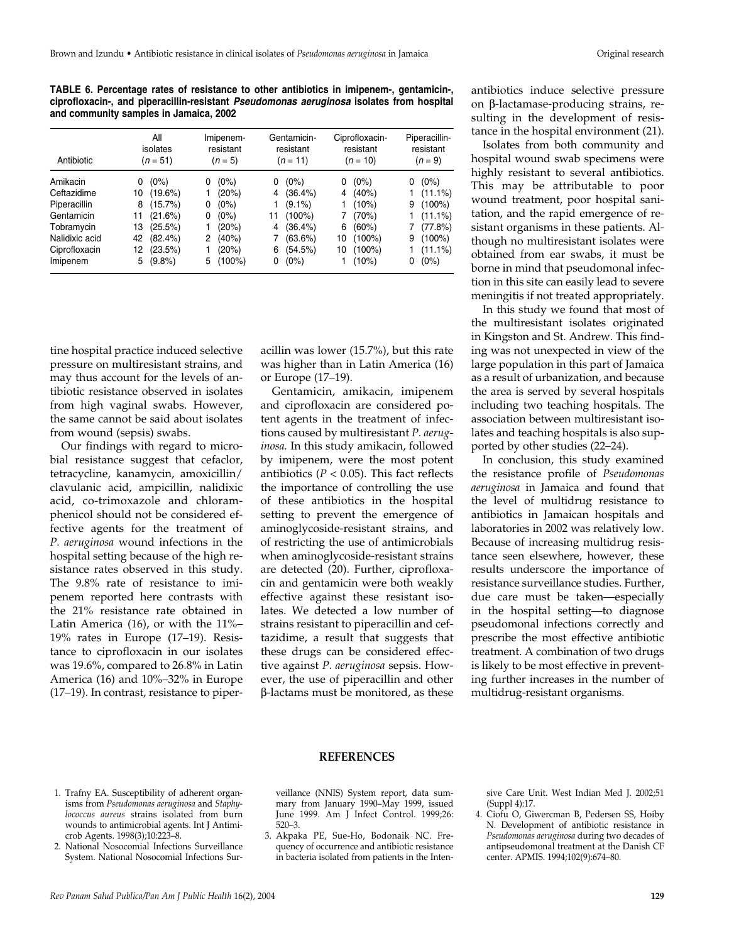**TABLE 6. Percentage rates of resistance to other antibiotics in imipenem-, gentamicin-, ciprofloxacin-, and piperacillin-resistant** *Pseudomonas aeruginosa* **isolates from hospital and community samples in Jamaica, 2002** 

| Antibiotic     |    | All<br>isolates<br>$(n = 51)$ |   | Imipenem-<br>resistant<br>$(n = 5)$ |    | Gentamicin-<br>resistant<br>$(n = 11)$ |    | Ciprofloxacin-<br>resistant<br>$(n = 10)$ |   | Piperacillin-<br>resistant<br>$(n = 9)$ |
|----------------|----|-------------------------------|---|-------------------------------------|----|----------------------------------------|----|-------------------------------------------|---|-----------------------------------------|
| Amikacin       | 0  | $(0\%)$                       | 0 | $(0\%)$                             | 0  | $(0\%)$                                | 0  | $(0\%)$                                   | 0 | $(0\%)$                                 |
| Ceftazidime    | 10 | $(19.6\%)$                    |   | (20%)                               | 4  | $(36.4\%)$                             | 4  | (40%)                                     |   | $(11.1\%)$                              |
| Piperacillin   | 8  | $(15.7\%)$                    | 0 | (0%)                                |    | $(9.1\%)$                              |    | (10%)                                     | 9 | $(100\%)$                               |
| Gentamicin     | 11 | (21.6%)                       | 0 | $(0\%)$                             | 11 | $(100\%)$                              |    | (70%)                                     |   | $(11.1\%)$                              |
| Tobramycin     | 13 | (25.5%)                       |   | (20%)                               | 4  | $(36.4\%)$                             | 6  | (60%)                                     |   | (77.8%)                                 |
| Nalidixic acid | 42 | $(82.4\%)$                    | 2 | (40%)                               |    | $(63.6\%)$                             | 10 | $(100\%)$                                 | 9 | $(100\%)$                               |
| Ciprofloxacin  | 12 | (23.5%)                       |   | (20%)                               | 6  | (54.5%)                                | 10 | $(100\%)$                                 |   | $(11.1\%)$                              |
| Imipenem       | 5. | $(9.8\%)$                     | 5 | $(100\%)$                           | 0  | $(0\%)$                                |    | (10%)                                     | 0 | $(0\%)$                                 |

tine hospital practice induced selective pressure on multiresistant strains, and may thus account for the levels of antibiotic resistance observed in isolates from high vaginal swabs. However, the same cannot be said about isolates from wound (sepsis) swabs.

Our findings with regard to microbial resistance suggest that cefaclor, tetracycline, kanamycin, amoxicillin/ clavulanic acid, ampicillin, nalidixic acid, co-trimoxazole and chloramphenicol should not be considered effective agents for the treatment of *P. aeruginosa* wound infections in the hospital setting because of the high resistance rates observed in this study. The 9.8% rate of resistance to imipenem reported here contrasts with the 21% resistance rate obtained in Latin America (16), or with the 11%– 19% rates in Europe (17–19). Resistance to ciprofloxacin in our isolates was 19.6%, compared to 26.8% in Latin America (16) and 10%–32% in Europe (17–19). In contrast, resistance to piperacillin was lower (15.7%), but this rate was higher than in Latin America (16) or Europe (17–19).

Gentamicin, amikacin, imipenem and ciprofloxacin are considered potent agents in the treatment of infections caused by multiresistant *P. aeruginosa.* In this study amikacin, followed by imipenem, were the most potent antibiotics  $(P < 0.05)$ . This fact reflects the importance of controlling the use of these antibiotics in the hospital setting to prevent the emergence of aminoglycoside-resistant strains, and of restricting the use of antimicrobials when aminoglycoside-resistant strains are detected (20). Further, ciprofloxacin and gentamicin were both weakly effective against these resistant isolates. We detected a low number of strains resistant to piperacillin and ceftazidime, a result that suggests that these drugs can be considered effective against *P. aeruginosa* sepsis. However, the use of piperacillin and other β-lactams must be monitored, as these

antibiotics induce selective pressure on β-lactamase-producing strains, resulting in the development of resistance in the hospital environment (21).

Isolates from both community and hospital wound swab specimens were highly resistant to several antibiotics. This may be attributable to poor wound treatment, poor hospital sanitation, and the rapid emergence of resistant organisms in these patients. Although no multiresistant isolates were obtained from ear swabs, it must be borne in mind that pseudomonal infection in this site can easily lead to severe meningitis if not treated appropriately.

In this study we found that most of the multiresistant isolates originated in Kingston and St. Andrew. This finding was not unexpected in view of the large population in this part of Jamaica as a result of urbanization, and because the area is served by several hospitals including two teaching hospitals. The association between multiresistant isolates and teaching hospitals is also supported by other studies (22–24).

In conclusion, this study examined the resistance profile of *Pseudomonas aeruginosa* in Jamaica and found that the level of multidrug resistance to antibiotics in Jamaican hospitals and laboratories in 2002 was relatively low. Because of increasing multidrug resistance seen elsewhere, however, these results underscore the importance of resistance surveillance studies. Further, due care must be taken—especially in the hospital setting—to diagnose pseudomonal infections correctly and prescribe the most effective antibiotic treatment. A combination of two drugs is likely to be most effective in preventing further increases in the number of multidrug-resistant organisms.

#### **REFERENCES**

- 1. Trafny EA. Susceptibility of adherent organisms from *Pseudomonas aeruginosa* and *Staphylococcus aureus* strains isolated from burn wounds to antimicrobial agents. Int J Antimicrob Agents. 1998(3);10:223–8.
- 2. National Nosocomial Infections Surveillance System. National Nosocomial Infections Sur-

veillance (NNIS) System report, data summary from January 1990–May 1999, issued June 1999. Am J Infect Control. 1999;26: 520–3.

3. Akpaka PE, Sue-Ho, Bodonaik NC. Frequency of occurrence and antibiotic resistance in bacteria isolated from patients in the Intensive Care Unit. West Indian Med J. 2002;51 (Suppl 4):17.

4. Ciofu O, Giwercman B, Pedersen SS, Hoiby N. Development of antibiotic resistance in *Pseudomonas aeruginosa* during two decades of antipseudomonal treatment at the Danish CF center. APMIS. 1994;102(9):674–80.